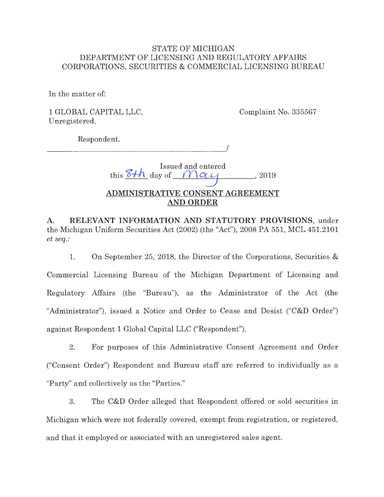## STATE OF MICHIGAN DEPARTMENT OF LICENSING AND REGULATORY AFFAIRS CORPORATIONS, SECURITIES & COMMERCIAL LICENSING BUREAU

In the matter of:

1 GLOBAL CAPITAL LLC, Unregistered,

Complaint No. 335567

Respondent.

--------------------

Issued and entered

this  $8+h$  day of  $M$  $\alpha$ , 2019

I

# **ADMINISTRATIVE CONSENT AGREEMENT AND ORDER**

**A. RELEVANT INFORMATION AND STATUTORY PROVISIONS,** under the Michigan Uniform Securities Act (2002) (the "Act"), 2008 PA 551, MCL 451.2101 *et seq.:* 

1. On September 25, 2018, the Director of the Corporations, Securities & Commercial Licensing Bureau of the Michigan Department of Licensing and Regulatory Affairs (the "Bureau"), as the Administrator of the Act (the "Administrator"), issued a Notice and Order to Cease and Desist ("C&D Order") against Respondent **1** Global Capital LLC ("Respondent").

2. For purposes of this Administrative Consent Agreement and Order ("Consent Order") Respondent and Bureau staff are referred to individually as a "Party" and collectively as the "Parties."

3. The C&D Order alleged that Respondent offered or sold securities in Michigan which were not federally covered, exempt from registration, or registered, and that it employed or associated with an unregistered sales agent.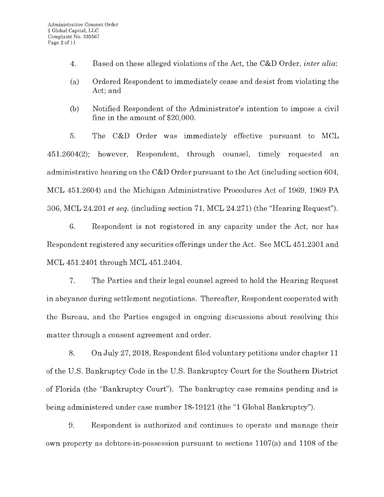- 4. Based on these alleged violations of the Act, the C&D Order, *inter alia:*
- (a) Ordered Respondent to immediately cease and desist from violating the Act; and
- (b) Notified Respondent of the Administrator's intention to impose a civil fine in the amount of \$20,000.

5. The C&D Order was immediately effective pursuant to MCL 451.2604(2); however, Respondent, through counsel, timely requested an administrative hearing on the C&D Order pursuant to the Act (including section 604, MCL 451.2604) and the Michigan Administrative Procedures Act of 1969, 1969 PA 306, MCL 24.201 *et seq.* (including section 71, MCL 24.271) (the "Hearing Request").

6. Respondent is not registered in any capacity under the Act, nor has Respondent registered any securities offerings under the Act. See MCL 451.2301 and MCL 451.2401 through MCL 451.2404.

7. The Parties and their legal counsel agreed to hold the Hearing Request in abeyance during settlement negotiations. Thereafter, Respondent cooperated with the Bureau, and the Parties engaged in ongoing discussions about resolving this matter through a consent agreement and order.

8. On July 27, 2018, Respondent filed voluntary petitions under chapter 11 of the U.S. Bankruptcy Code in the U.S. Bankruptcy Court for the Southern District of Florida (the "Bankruptcy Court"). The bankruptcy case remains pending and is being administered under case number 18-19121 (the "1 Global Bankruptcy").

9. Respondent is authorized and continues to operate and manage their own property as debtors-in-possession pursuant to sections 1107(a) and 1108 of the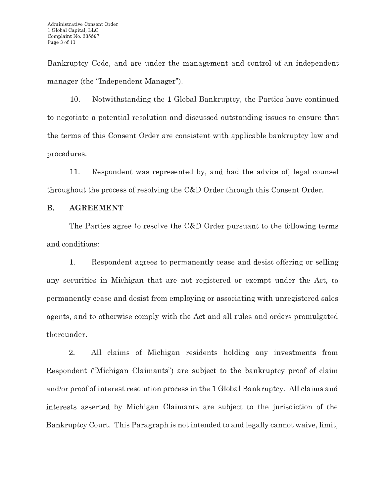Bankruptcy Code, and are under the management and control of an independent manager (the "Independent Manager").

10. Notwithstanding the **1** Global Bankruptcy, the Parties have continued to negotiate a potential resolution and discussed outstanding issues to ensure that the terms of this Consent Order are consistent with applicable bankruptcy law and procedures.

11. Respondent was represented by, and had the advice of, legal counsel throughout the process of resolving the C&D Order through this Consent Order.

# **B. AGREEMENT**

The Parties agree to resolve the C&D Order pursuant to the following terms and conditions:

1. Respondent agrees to permanently cease and desist offering or selling any securities in Michigan that are not registered or exempt under the Act, to permanently cease and desist from employing or associating with unregistered sales agents, and to otherwise comply with the Act and all rules and orders promulgated thereunder.

2. All claims of Michigan residents holding any investments from Respondent ("Michigan Claimants") are subject to the bankruptcy proof of claim and/or proof of interest resolution process in the 1 Global Bankruptcy. All claims and interests asserted by Michigan Claimants are subject to the jurisdiction of the Bankruptcy Court. This Paragraph is not intended to and legally cannot waive, limit,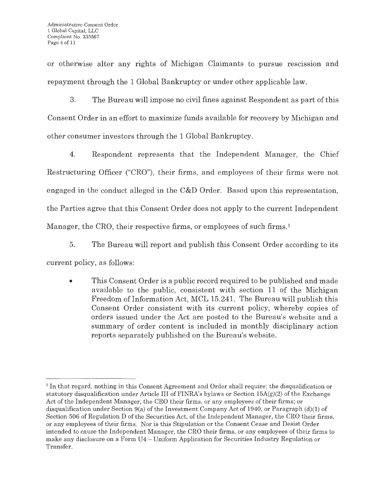or otherwise alter any rights of Michigan Claimants to pursue rescission and repayment through the 1 Global Bankruptcy or under other applicable law.

3. The Bureau will impose no civil fines against Respondent as part of this Consent Order in an effort to maximize funds available for recovery by Michigan and other consumer investors through the 1 Global Bankruptcy.

4. Respondent represents that the Independent Manager, the Chief Restructuring Officer ("CRO"), their firms, and employees of their firms were not engaged in the conduct alleged in the C&D Order. Based upon this representation, the Parties agree that this Consent Order does not apply to the current Independent Manager, the CRO, their respective firms, or employees of such firms.<sup>1</sup>

5. The Bureau will report and publish this Consent Order according to its

current policy, as follows:

• This Consent Order is a public record required to be published and made available to the public, consistent with section 11 of the Michigan Freedom of Information Act, MCL 15.241. The Bureau will publish this Consent Order consistent with its current policy, whereby copies of orders issued under the Act are posted to the Bureau's website and a summary of order content is included in monthly disciplinary action reports separately published on the Bureau's website.

<sup>1</sup> In that regard, nothing in this Consent Agreement and Order shall require: the disqualification or statutory disqualification under Article III of FINRA's bylaws or Section  $15A(g)(2)$  of the Exchange Act of the Independent Manager, the CRO their firms, or any employees of their firms; or disqualification under Section 9(a) of the Investment Company Act of 1940, or Paragraph (d)(1) of Section 506 of Regulation D of the Securities Act, of the Independent Manager, the CRO their firms, or any employees of their firms. Nor is this Stipulation or the Consent Cease and Desist Order intended to cause the Independent Manager, the CRO their firms, or any employees of their firms to make any disclosure on a Form U4 - Uniform Application for Securities Industry Regulation or Transfer.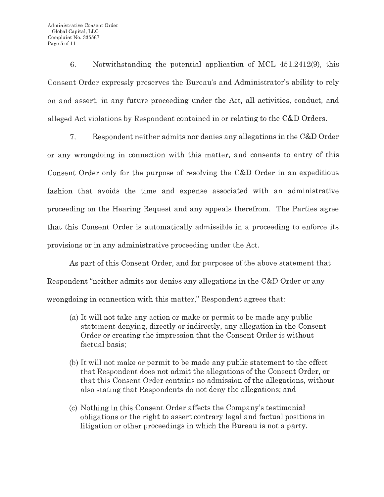6. Notwithstanding the potential application of MCL 451.2412(9), this Consent Order expressly preserves the Bureau's and Administrator's ability to rely on and assert, in any future proceeding under the Act, all activities, conduct, and alleged Act violations by Respondent contained in or relating to the C&D Orders.

7. Respondent neither admits nor denies any allegations in the C&D Order or any wrongdoing in connection with this matter, and consents to entry of this Consent Order only for the purpose of resolving the C&D Order in an expeditious fashion that avoids the time and expense associated with an administrative proceeding on the Hearing Request and any appeals therefrom. The Parties agree that this Consent Order is automatically admissible in a proceeding to enforce its provisions or in any administrative proceeding under the Act.

As part of this Consent Order, and for purposes of the above statement that Respondent "neither admits nor denies any allegations in the C&D Order or any wrongdoing in connection with this matter," Respondent agrees that:

- (a) It will not take any action or make or permit to be made any public statement denying, directly or indirectly, any allegation in the Consent Order or creating the impression that the Consent Order is without factual basis;
- (b) It will not make or permit to be made any public statement to the effect that Respondent does not admit the allegations of the Consent Order, or that this Consent Order contains no admission of the allegations, without also stating that Respondents do not deny the allegations; and
- (c) Nothing in this Consent Order affects the Company's testimonial obligations or the right to assert contrary legal and factual positions in litigation or other proceedings in which the Bureau is not a party.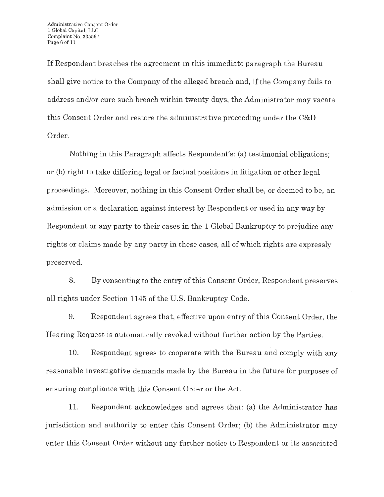If Respondent breaches the agreement in this immediate paragraph the Bureau shall give notice to the Company of the alleged breach and, if the Company fails to address and/or cure such breach within twenty days, the Administrator may vacate this Consent Order and restore the administrative proceeding under the C&D Order.

Nothing in this Paragraph affects Respondent's: (a) testimonial obligations; or (b) right to take differing legal or factual positions in litigation or other legal proceedings. Moreover, nothing in this Consent Order shall be, or deemed to be, an admission or a declaration against interest by Respondent or used in any way by Respondent or any party to their cases in the 1 Global Bankruptcy to prejudice any rights or claims made by any party in these cases, all of which rights are expressly preserved.

8. By consenting to the entry of this Consent Order, Respondent preserves all rights under Section 1145 of the U.S. Bankruptcy Code.

9. Respondent agrees that, effective upon entry of this Consent Order, the Hearing Request is automatically revoked without further action by the Parties.

10. Respondent agrees to cooperate with the Bureau and comply with any reasonable investigative demands made by the Bureau in the future for purposes of ensuring compliance with this Consent Order or the Act.

11. Respondent acknowledges and agrees that: (a) the Administrator has jurisdiction and authority to enter this Consent Order; (b) the Administrator may enter this Consent Order without any further notice to Respondent or its associated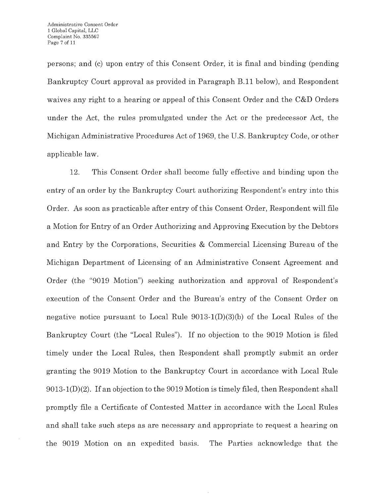persons; and (c) upon entry of this Consent Order, it is final and binding (pending Bankruptcy Court approval as provided in Paragraph **B.11** below), and Respondent waives any right to a hearing or appeal of this Consent Order and the C&D Orders under the Act, the rules promulgated under the Act or the predecessor Act, the Michigan Administrative Procedures Act of 1969, the U.S. Bankruptcy Code, or other applicable law.

12. This Consent Order shall become fully effective and binding upon the entry of an order by the Bankruptcy Court authorizing Respondent's entry into this Order. As soon as practicable after entry of this Consent Order, Respondent will file a Motion for Entry of an Order Authorizing and Approving Execution by the Debtors and Entry by the Corporations, Securities & Commercial Licensing Bureau of the Michigan Department of Licensing of an Administrative Consent Agreement and Order (the "9019 Motion") seeking authorization and approval of Respondent's execution of the Consent Order and the Bureau's entry of the Consent Order on negative notice pursuant to Local Rule  $9013-1(D)(3)(b)$  of the Local Rules of the Bankruptcy Court (the "Local Rules"). If no objection to the 9019 Motion is filed timely under the Local Rules, then Respondent shall promptly submit an order granting the 9019 Motion to the Bankruptcy Court in accordance with Local Rule 9013-l(D)(2). If an objection to the 9019 Motion is timely filed, then Respondent shall promptly file a Certificate of Contested Matter in accordance with the Local Rules and shall take such steps as are necessary and appropriate to request a hearing on the 9019 Motion on an expedited basis. The Parties acknowledge that the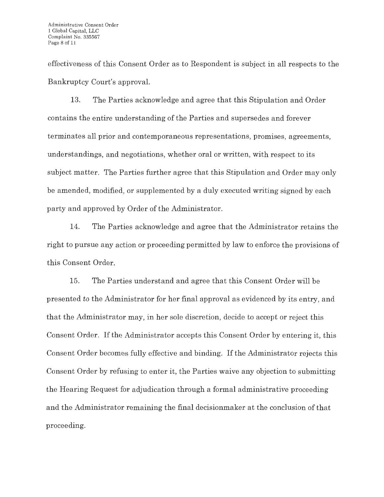effectiveness of this Consent Order as to Respondent is subject in all respects to the Bankruptcy Court's approval.

13. The Parties acknowledge and agree that this Stipulation and Order contains the entire understanding of the Parties and supersedes and forever terminates all prior and contemporaneous representations, promises, agreements, understandings, and negotiations, whether oral or written, with respect to its subject matter. The Parties further agree that this Stipulation and Order may only be amended, modified, or supplemented by a duly executed writing signed by each party and approved by Order of the Administrator.

14. The Parties acknowledge and agree that the Administrator retains the right to pursue any action or proceeding permitted by law to enforce the provisions of this Consent Order.

15. The Parties understand and agree that this Consent Order will be presented to the Administrator for her final approval as evidenced by its entry, and that the Administrator may, in her sole discretion, decide to accept or reject this Consent Order. If the Administrator accepts this Consent Order by entering it, this Consent Order becomes fully effective and binding. If the Administrator rejects this Consent Order by refusing to enter it, the Parties waive any objection to submitting the Hearing Request for adjudication through a formal administrative proceeding and the Administrator remaining the final decisionmaker at the conclusion of that proceeding.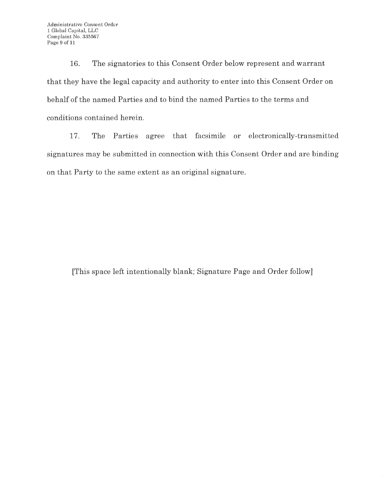16. The signatories to this Consent Order below represent and warrant that they have the legal capacity and authority to enter into this Consent Order on behalf of the named Parties and to bind the named Parties to the terms and conditions contained herein.

17. The Parties agree that facsimile or electronically-transmitted signatures may be submitted in connection with this Consent Order and are binding on that Party to the same extent as an original signature.

[This space left intentionally blank; Signature Page and Order follow]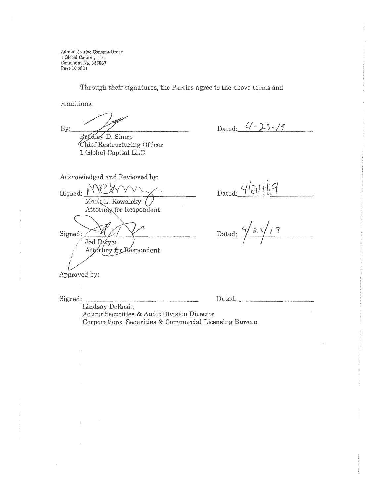Administrative Consent Order l Global Capital, LLC Complaint No. <sup>835567</sup> Page 10 of 11

Through their signatures, the Parties agree to the above terms and

conditions.

By:

Bradley D. Sharp Chief Restructuring Officer 1 Global Capital LLC

Dated: 4 - 23 - 19

Acknowledged and Reviewed by: Signed: <u>MCHmm</u> Mark L. Kowalsky ( Attorney for Respondent

Signed: Jed Dwyer Attorney for Respondent

 $D$ ated:

Dated:  $\gamma \propto \sqrt{7}$  $\sqrt{2}$ 

Approved by:

Signed.:\_\_\_\_\_\_\_\_\_\_\_\_\_\_\_ Dated:-----,------

Lindsay DeRosia Acting Securities & Audit Division Director Corporations, Securities & Commercial Licensing Bureau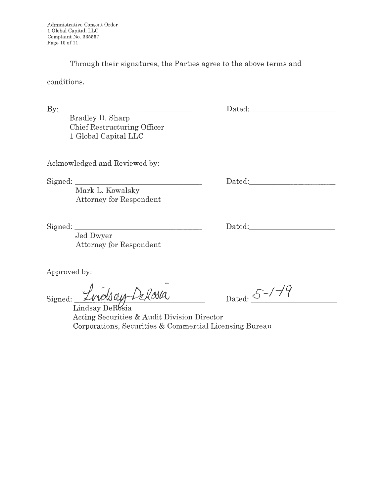Through their signatures, the Parties agree to the above terms and

conditions.

By: \_\_\_\_\_\_\_\_\_\_\_\_\_\_\_ \_

Bradley D. Sharp Chief Restructuring Officer 1 Global Capital LLC

Acknowledged and Reviewed by:

Signed: \_\_\_\_\_\_\_\_\_\_\_\_\_\_\_ \_

Mark L. Kowalsky Attorney for Respondent

Signed: \_\_\_\_\_\_\_\_\_\_\_\_\_\_\_ \_

Dated: <u>Dated: Equation of the set of the set of the set of the set of the set of the set of the set of the set of the set of the set of the set of the set of the set of the set of the set of the set of the set of the set </u> -----------

Dated: the contract of the contract of the contract of the contract of the contract of the contract of the contract of the contract of the contract of the contract of the contract of the contract of the contract of the con

Dated: **Dates of the United States of the United States of the United States of the United States of the United States of the United States of the United States of the United States of the United States of the United State** 

Jed Dwyer Attorney for Respondent

Approved by:

Signed: <u>Lindsay Delasa</u>

Dated:  $S$ -/ $\frac{1}{9}$ 

Acting Securities & Audit Division Director Corporations, Securities & Commercial Licensing Bureau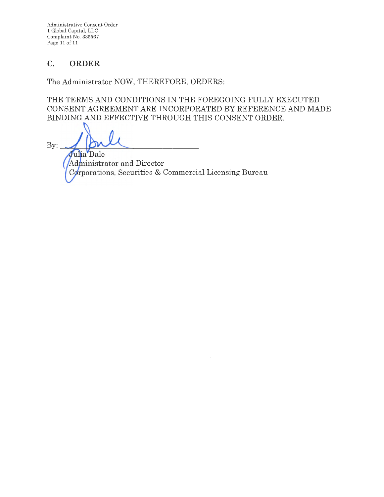Administrative Consent Order 1 Global Capital, LLC Complaint No. 335567 Page 11 of 11

# **C. ORDER**

The Administrator NOW, THEREFORE, ORDERS:

THE TERMS AND CONDITIONS IN THE FOREGOING FULLY EXECUTED CONSENT AGREEMENT ARE INCORPORATED BY REFERENCE AND MADE BINDING AND EFFECTIVE THROUGH THIS CONSENT ORDER.

 $By:$ Julia Dale Administrator and Director Corporations, Securities & Commercial Licensing Bureau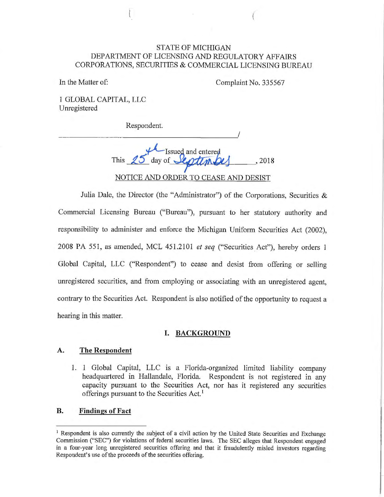### STATE OF MICHIGAN DEPARTMENT OF LICENSING AND REGULATORY AFFAIRS CORPORATIONS, SECURITIES & COMMERCIAL LICENSING BUREAU

In the Matter of: Complaint No. 335567

**1** GLOBAL CAPITAL, LLC Unregistered

Respondent.

*\_\_\_\_\_\_\_\_\_\_\_\_\_\_\_\_\_\_\_\_\_\_ !* 

Issued and entered This  $15$  day of  $\frac{1}{\sqrt{10}}$   $\frac{1}{14}$  , 2018 NOTICE AND ORDER TO CEASE AND DESIST

Julia Dale, the Director (the "Administrator") of the Corporations, Securities & Commercial Licensing Bureau ("Bureau"), pursuant to her statutory authority and responsibility to administer and enforce the Michigan Uniform Securities Act (2002), 2008 PA 551, as amended, MCL 451.2101 *et seq* ("Securities Act"), hereby orders **1**  Global Capital, LLC ("Respondent") to cease and desist from offering or selling unregistered securities, and from employing or associating with an unregistered agent, contrary to the Securities Act. Respondent is also notified of the opportunity to request a hearing in this matter.

### **I. BACKGROUND**

### **A. The Respondent**

1. 1 Global Capital, LLC is a Florida-organized limited liability company headquartered in Hallandale, Florida. Respondent is not registered in any capacity pursuant to the Securities Act, nor has it registered any securities offerings pursuant to the Securities Act.<sup>1</sup>

#### **B. Findings of Fact**

<sup>&</sup>lt;sup>1</sup> Respondent is also currently the subject of a civil action by the United State Securities and Exchange Commission ("SEC") for violations of federal securities laws. The SEC alleges that Respondent engaged in a four-year long unregistered securities offering and that it fraudulently misled investors regarding Respondent's use of the proceeds of the securities offering.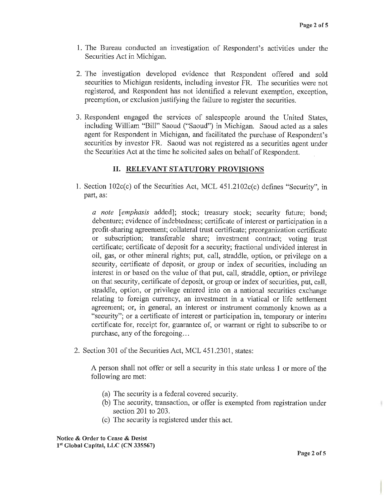- 1. The Bureau conducted an investigation of Respondent's activities under the Securities Act in Michigan.
- 2. The investigation developed evidence that Respondent offered and sold securities to Michigan residents, including investor FR. The securities were not registered, and Respondent has not identified a relevant exemption, exception, preemption, or exclusion justifying the failure to register the securities.
- 3. Respondent engaged the services of salespeople around the United States, including William "Bill" Saoud ("Saoud") in Michigan. Saoud acted as a sales agent for Respondent in Michigan, and facilitated the purchase of Respondent's securities by investor FR. Saoud was not registered as a securities agent under the Securities Act at the time he solicited sales on behalf of Respondent.

### II. **RELEVANT STATUTORY PROVISIONS**

1. Section 102c(c) of the Securities Act, MCL 451.2102c(c) defines "Security", in part, as:

*a note* [ *emphasis* added]; stock; treasury stock; security future; bond; debenture; evidence of indebtedness; certificate of interest or participation in a profit-sharing agreement; collateral trust certificate; preorganization certificate or subscription; transferable share; investment contract; voting trust certificate; certificate of deposit for a security; fractional undivided interest in oil, gas, or other mineral rights; put, call, straddle, option, or privilege on a security, certificate of deposit, or group or index of securities, including an interest in or based on the value of that put, call, straddle, option, or privilege on that security, certificate of deposit, or group or index of securities, put, call, straddle, option, or privilege entered into on a national securities exchange relating to foreign currency, an investment in a viatical or life settlement agreement; or, in general, an interest or instrument commonly known as a "security"; or a certificate of interest or participation in, temporary or interim certificate for, receipt for, guarantee of, or warrant or right to subscribe to or purchase, any of the foregoing...

2. Section 301 of the Securities Act, MCL 451.2301, states:

A person shall not offer or sell a security in this state unless 1 or more of the following are met:

- (a) The security is a federal covered security.
- (b) The security, transaction, or offer is exempted from registration under section 201 to 203.
- ( c) The security is registered under this act.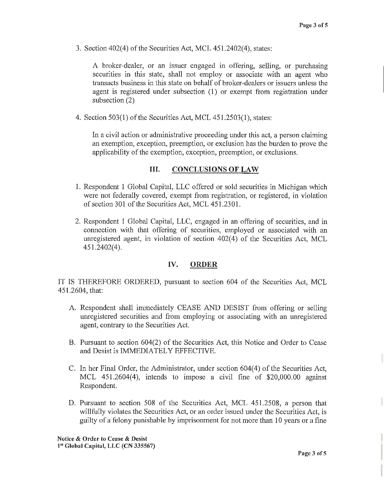3. Section 402(4) of the Securities Act, MCL 451.2402(4), states:

A broker-dealer, or an issuer engaged in offering, selling, or purchasing securities in this state, shall not employ or associate with an agent who transacts business in this state on behalf of broker-dealers or issuers unless the agent is registered under subsection (1) or exempt from registration under subsection (2)

4. Section 503(1) of the Securities Act, MCL 451.2503(1), states:

In a civil action or administrative proceeding under this act, a person claiming an exemption, exception, preemption, or exclusion has the burden to prove the applicability of the exemption, exception, preemption, or exclusions.

### III. **CONCLUSIONS OF LAW**

- 1. Respondent 1 Global Capital, LLC offered or sold securities in Michigan which were not federally covered, exempt from registration, or registered, in violation of section 301 of the Securities Act, MCL 451.2301.
- 2. Respondent 1 Global Capital, LLC, engaged in an offering of securities, and in connection with that offering of securities, employed or associated with an unregistered agent, in violation of section  $402(4)$  of the Securities Act, MCL 451.2402(4).

### **IV. ORDER**

IT IS THEREFORE ORDERED, pursuant to section 604 of the Securities Act, MCL 451.2604, that:

- A. Respondent shall immediately CEASE AND DESIST from offering or selling unregistered secmities and from employing or associating with an unregistered agent, contrary to the Securities Act.
- B. Pursuant to section 604(2) of the Securities Act, this Notice and Order to Cease and Desist is IMMEDIATELY EFFECTIVE.
- C. In her Final Order, the Administrator, under section  $604(4)$  of the Securities Act, MCL 451.2604(4), intends to impose a civil fine of \$20,000.00 against Respondent.
- D. Pursuant to section 508 of the Securities Act, MCL 451.2508, a person that willfully violates the Securities Act, or an order issued under the Securities Act, is guilty of a felony punishable by imprisonment for not more than 10 years or a fine

**Notice** & **Order to Cease** & **Desist 1'<sup>1</sup>Global Capital, LLC (CN 335567)**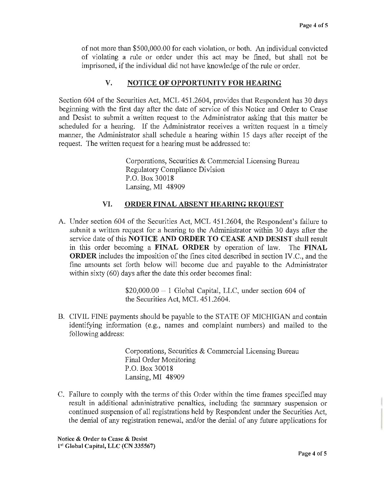of not more than \$500,000.00 for each violation, or both. An individual convicted of violating a rule or order under this act may be fined, but shall not be imprisoned, if the individual did not have knowledge of the rule or order.

## **V. NOTICE OF OPPORTUNITY FOR HEARING**

Section 604 of the Securities Act, MCL 451.2604, provides that Respondent has 30 days beginning with the first day after the date of service of this Notice and Order to Cease and Desist to submit a written request to the Administrator asking that this matter be scheduled for a hearing. If the Administrator receives a written request in a timely manner, the Administrator shall schedule a hearing within 15 days after receipt of the request. The written request for a hearing must be addressed to:

> Corporations, Securities & Commercial Licensing Bureau Regulatory Compliance Division P.O. Box 30018 Lansing, MI 48909

#### **VI. ORDER FINAL ABSENT HEARING REQUEST**

A. Under section 604 of the Securities Act, MCL 451.2604, the Respondent's failure to submit a written request for a hearing to the Administrator within 30 days after the service date of this **NOTICE AND ORDER TO CEASE AND DESIST** shall result in this order becoming a **FINAL ORDER** by operation of law. The **FINAL ORDER** includes the imposition of the fines cited described in section IV.C., and the fine amounts set forth below will become due and payable to the Administrator within sixty (60) days after the date this order becomes final:

> $$20,000.00 - 1$  Global Capital, LLC, under section 604 of the Securities Act, MCL 451.2604.

B. CIVIL FINE payments should be payable to the STATE OF MICHIGAN and contain identifying information (e.g., names and complaint numbers) and mailed to the following address:

> Corporations, Securities & Commercial Licensing Bureau Final Order Monitoring P.O. Box 30018 Lansing, MI 48909

C. Failure to comply with the terms of this Order within the time frames specified may result in additional administrative penalties, including the summary suspension or continued suspension of all registrations held by Respondent under the Securities Act, the denial of any registration renewal, and/or the denial of any future applications for

**Notice** & **Order to Cease** & **Desist l81 Global Capital, LLC (CN 335567)**